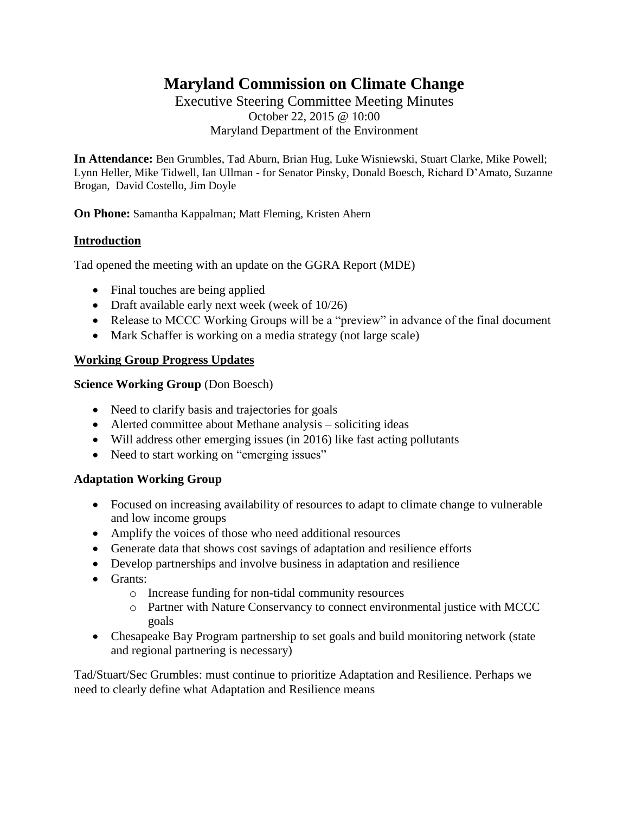# **Maryland Commission on Climate Change**

Executive Steering Committee Meeting Minutes October 22, 2015 @ 10:00 Maryland Department of the Environment

**In Attendance:** Ben Grumbles, Tad Aburn, Brian Hug, Luke Wisniewski, Stuart Clarke, Mike Powell; Lynn Heller, Mike Tidwell, Ian Ullman - for Senator Pinsky, Donald Boesch, Richard D'Amato, Suzanne Brogan, David Costello, Jim Doyle

**On Phone:** Samantha Kappalman; Matt Fleming, Kristen Ahern

## **Introduction**

Tad opened the meeting with an update on the GGRA Report (MDE)

- Final touches are being applied
- Draft available early next week (week of 10/26)
- Release to MCCC Working Groups will be a "preview" in advance of the final document
- Mark Schaffer is working on a media strategy (not large scale)

## **Working Group Progress Updates**

#### **Science Working Group** (Don Boesch)

- Need to clarify basis and trajectories for goals
- Alerted committee about Methane analysis soliciting ideas
- Will address other emerging issues (in 2016) like fast acting pollutants
- Need to start working on "emerging issues"

## **Adaptation Working Group**

- Focused on increasing availability of resources to adapt to climate change to vulnerable and low income groups
- Amplify the voices of those who need additional resources
- Generate data that shows cost savings of adaptation and resilience efforts
- Develop partnerships and involve business in adaptation and resilience
- Grants:
	- o Increase funding for non-tidal community resources
	- o Partner with Nature Conservancy to connect environmental justice with MCCC goals
- Chesapeake Bay Program partnership to set goals and build monitoring network (state and regional partnering is necessary)

Tad/Stuart/Sec Grumbles: must continue to prioritize Adaptation and Resilience. Perhaps we need to clearly define what Adaptation and Resilience means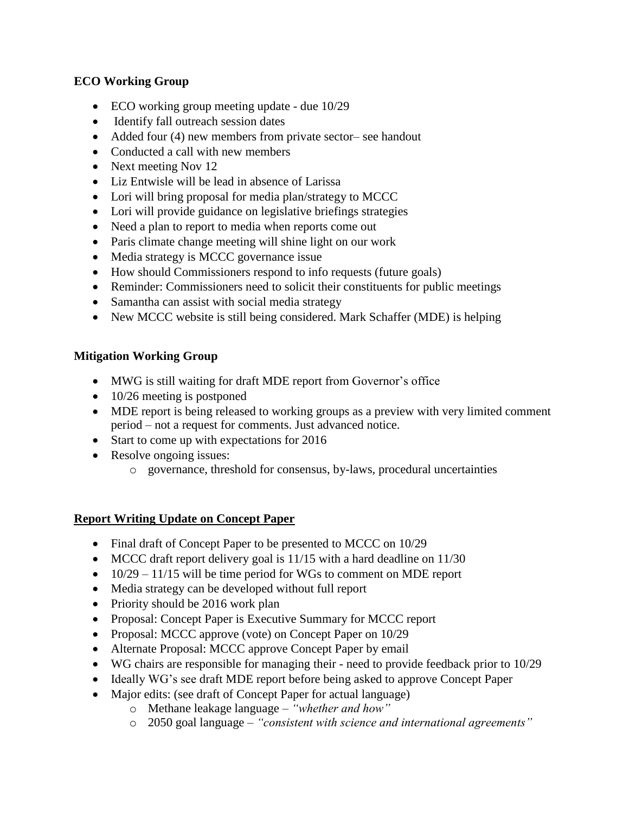# **ECO Working Group**

- ECO working group meeting update due 10/29
- Identify fall outreach session dates
- Added four (4) new members from private sector– see handout
- Conducted a call with new members
- Next meeting Nov 12
- Liz Entwisle will be lead in absence of Larissa
- Lori will bring proposal for media plan/strategy to MCCC
- Lori will provide guidance on legislative briefings strategies
- Need a plan to report to media when reports come out
- Paris climate change meeting will shine light on our work
- Media strategy is MCCC governance issue
- How should Commissioners respond to info requests (future goals)
- Reminder: Commissioners need to solicit their constituents for public meetings
- Samantha can assist with social media strategy
- New MCCC website is still being considered. Mark Schaffer (MDE) is helping

# **Mitigation Working Group**

- MWG is still waiting for draft MDE report from Governor's office
- 10/26 meeting is postponed
- MDE report is being released to working groups as a preview with very limited comment period – not a request for comments. Just advanced notice.
- Start to come up with expectations for 2016
- Resolve ongoing issues:
	- o governance, threshold for consensus, by-laws, procedural uncertainties

## **Report Writing Update on Concept Paper**

- Final draft of Concept Paper to be presented to MCCC on 10/29
- MCCC draft report delivery goal is 11/15 with a hard deadline on 11/30
- $\bullet$  10/29 11/15 will be time period for WGs to comment on MDE report
- Media strategy can be developed without full report
- Priority should be 2016 work plan
- Proposal: Concept Paper is Executive Summary for MCCC report
- Proposal: MCCC approve (vote) on Concept Paper on 10/29
- Alternate Proposal: MCCC approve Concept Paper by email
- WG chairs are responsible for managing their need to provide feedback prior to 10/29
- Ideally WG's see draft MDE report before being asked to approve Concept Paper
- Major edits: (see draft of Concept Paper for actual language)
	- o Methane leakage language *"whether and how"*
	- o 2050 goal language *"consistent with science and international agreements"*